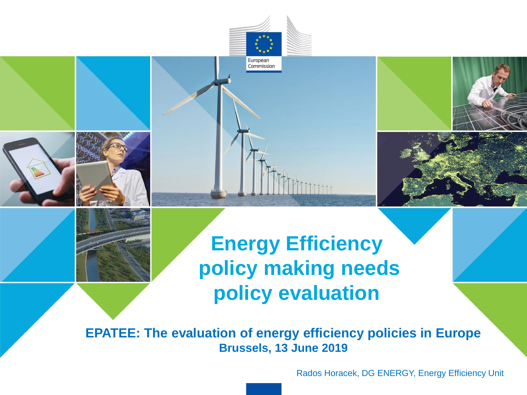







# **Energy Efficiency policy making needs policy evaluation**

**EPATEE: The evaluation of energy efficiency policies in Europe Brussels, 13 June 2019**

Rados Horacek, DG ENERGY, Energy Efficiency Unit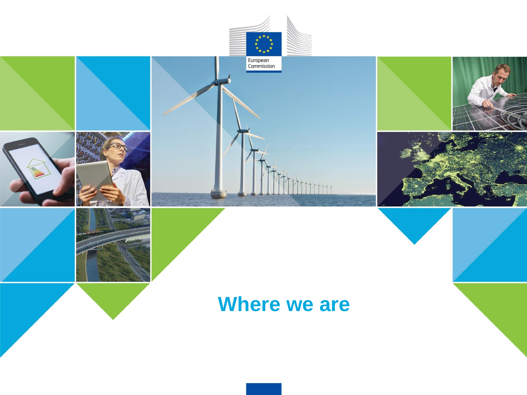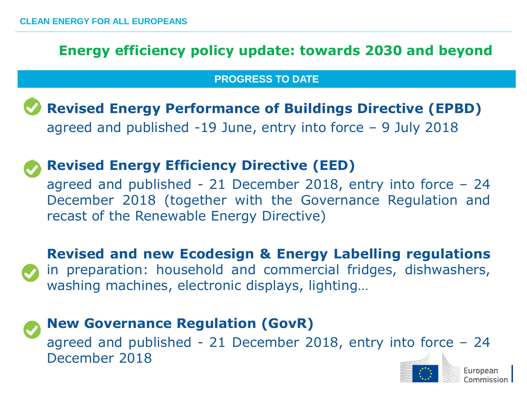## **Energy efficiency policy update: towards 2030 and beyond**

#### **PROGRESS TO DATE**

• **Revised Energy Performance of Buildings Directive (EPBD)** agreed and published  $-19$  June, entry into force  $-9$  July 2018

## • **Revised Energy Efficiency Directive (EED)**

agreed and published - 21 December 2018, entry into force  $-24$ December 2018 (together with the Governance Regulation and recast of the Renewable Energy Directive)

• **Revised and new Ecodesign & Energy Labelling regulations** in preparation: household and commercial fridges, dishwashers, washing machines, electronic displays, lighting…

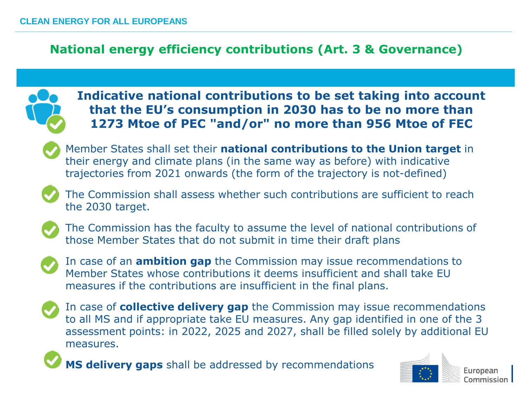## **National energy efficiency contributions (Art. 3 & Governance)**



**Indicative national contributions to be set taking into account that the EU's consumption in 2030 has to be no more than 1273 Mtoe of PEC "and/or" no more than 956 Mtoe of FEC**



Member States shall set their **national contributions to the Union target** in their energy and climate plans (in the same way as before) with indicative trajectories from 2021 onwards (the form of the trajectory is not-defined)



The Commission shall assess whether such contributions are sufficient to reach the 2030 target.



The Commission has the faculty to assume the level of national contributions of those Member States that do not submit in time their draft plans



In case of an **ambition gap** the Commission may issue recommendations to Member States whose contributions it deems insufficient and shall take EU measures if the contributions are insufficient in the final plans.



In case of **collective delivery gap** the Commission may issue recommendations to all MS and if appropriate take EU measures. Any gap identified in one of the 3 assessment points: in 2022, 2025 and 2027, shall be filled solely by additional EU measures.

**MS delivery gaps** shall be addressed by recommendations



Europear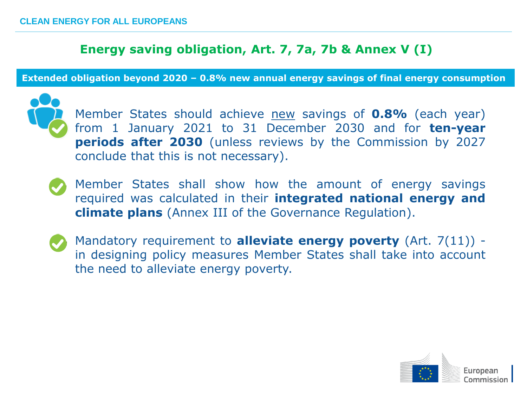#### **Energy saving obligation, Art. 7, 7a, 7b & Annex V (I)**

**Extended obligation beyond 2020 – 0.8% new annual energy savings of final energy consumption** 



Member States should achieve new savings of **0.8%** (each year) from 1 January 2021 to 31 December 2030 and for **ten-year periods after 2030** (unless reviews by the Commission by 2027 conclude that this is not necessary).

- Member States shall show how the amount of energy savings required was calculated in their **integrated national energy and climate plans** (Annex III of the Governance Regulation).
- Mandatory requirement to **alleviate energy poverty** (Art. 7(11)) in designing policy measures Member States shall take into account the need to alleviate energy poverty.

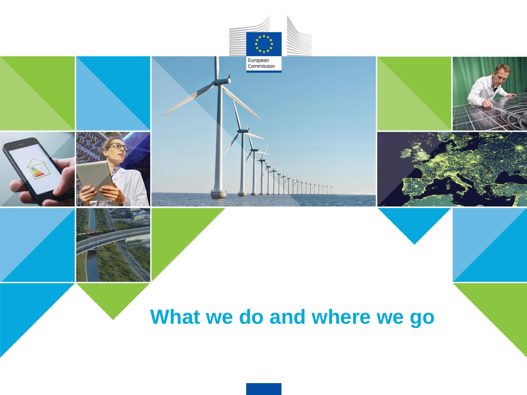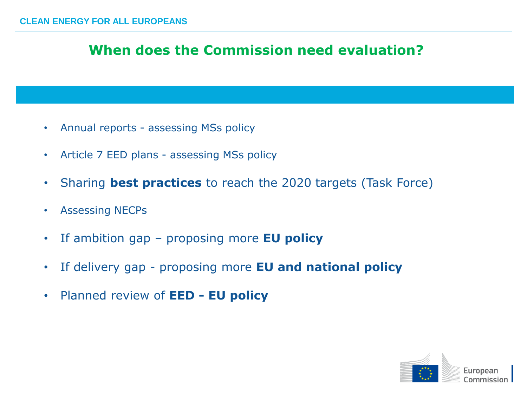## **When does the Commission need evaluation?**

- Annual reports assessing MSs policy
- Article 7 EED plans assessing MSs policy
- Sharing **best practices** to reach the 2020 targets (Task Force)
- Assessing NECPs
- If ambition gap proposing more **EU policy**
- If delivery gap proposing more **EU and national policy**
- Planned review of **EED - EU policy**

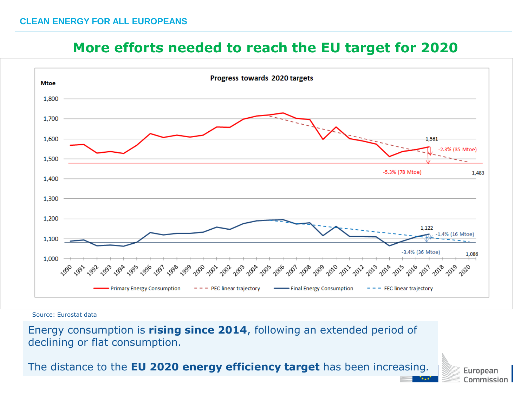## **More efforts needed to reach the EU target for 2020**



Source: Eurostat data

Energy consumption is **rising since 2014**, following an extended period of declining or flat consumption.

The distance to the **EU 2020 energy efficiency target** has been increasing*.*

European Commission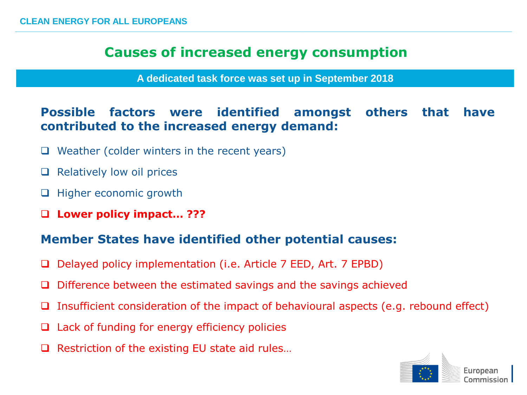## **Causes of increased energy consumption**

**A dedicated task force was set up in September 2018**

## **Possible factors were identified amongst others that have contributed to the increased energy demand:**

- $\Box$  Weather (colder winters in the recent years)
- $\Box$  Relatively low oil prices
- □ Higher economic growth
- **Lower policy impact… ???**

#### **Member States have identified other potential causes:**

- □ Delayed policy implementation (i.e. Article 7 EED, Art. 7 EPBD)
- $\Box$  Difference between the estimated savings and the savings achieved
- $\Box$  Insufficient consideration of the impact of behavioural aspects (e.g. rebound effect)
- $\Box$  Lack of funding for energy efficiency policies
- $\Box$  Restriction of the existing EU state aid rules...

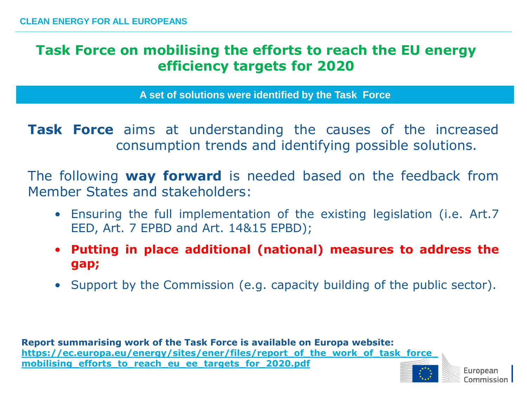## **Task Force on mobilising the efforts to reach the EU energy efficiency targets for 2020**

**A set of solutions were identified by the Task Force**

**Task Force** aims at understanding the causes of the increased consumption trends and identifying possible solutions.

The following **way forward** is needed based on the feedback from Member States and stakeholders:

- Ensuring the full implementation of the existing legislation (i.e. Art.7 EED, Art. 7 EPBD and Art. 14&15 EPBD);
- **Putting in place additional (national) measures to address the gap;**
- Support by the Commission (e.g. capacity building of the public sector).

**Report summarising work of the Task Force is available on Europa website: [https://ec.europa.eu/energy/sites/ener/files/report\\_of\\_the\\_work\\_of\\_task\\_force\\_](https://ec.europa.eu/energy/sites/ener/files/report_of_the_work_of_task_force_mobilising_efforts_to_reach_eu_ee_targets_for_2020.pdf) [mobilising\\_efforts\\_to\\_reach\\_eu\\_ee\\_targets\\_for\\_2020.pdf](https://ec.europa.eu/energy/sites/ener/files/report_of_the_work_of_task_force_mobilising_efforts_to_reach_eu_ee_targets_for_2020.pdf)**

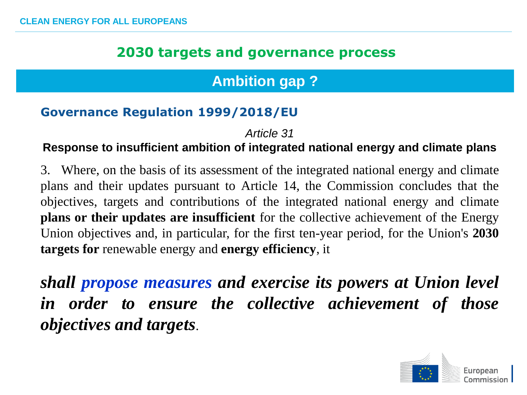# **Ambition gap ?**

#### **Governance Regulation 1999/2018/EU**

*Article 31*

#### **Response to insufficient ambition of integrated national energy and climate plans**

3. Where, on the basis of its assessment of the integrated national energy and climate plans and their updates pursuant to Article 14, the Commission concludes that the objectives, targets and contributions of the integrated national energy and climate **plans or their updates are insufficient** for the collective achievement of the Energy Union objectives and, in particular, for the first ten-year period, for the Union's **2030 targets for** renewable energy and **energy efficiency**, it

*shall propose measures and exercise its powers at Union level in order to ensure the collective achievement of those objectives and targets*.

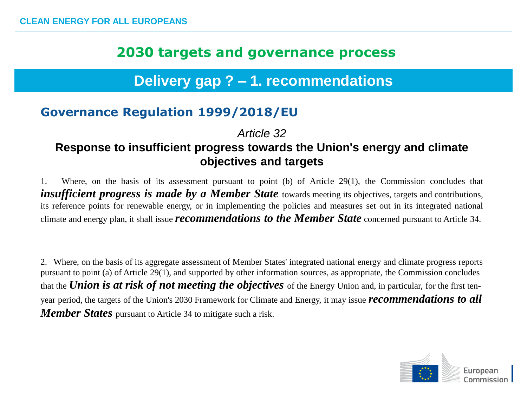# **Delivery gap ? – 1. recommendations**

## **Governance Regulation 1999/2018/EU**

#### *Article 32* **Response to insufficient progress towards the Union's energy and climate objectives and targets**

1. Where, on the basis of its assessment pursuant to point (b) of Article 29(1), the Commission concludes that *insufficient progress is made by a Member State* towards meeting its objectives, targets and contributions, its reference points for renewable energy, or in implementing the policies and measures set out in its integrated national climate and energy plan, it shall issue *recommendations to the Member State* concerned pursuant to Article 34.

2. Where, on the basis of its aggregate assessment of Member States' integrated national energy and climate progress reports pursuant to point (a) of Article 29(1), and supported by other information sources, as appropriate, the Commission concludes that the *Union is at risk of not meeting the objectives* of the Energy Union and, in particular, for the first tenyear period, the targets of the Union's 2030 Framework for Climate and Energy, it may issue *recommendations to all Member States* pursuant to Article 34 to mitigate such a risk.

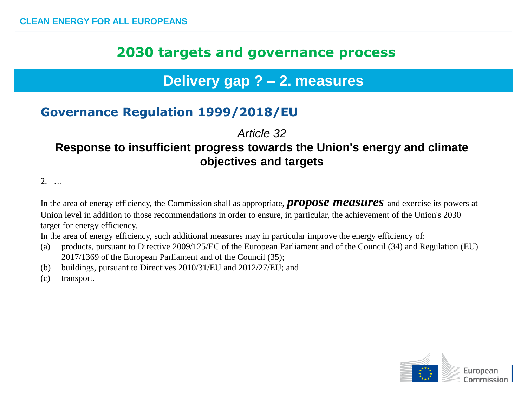## **Delivery gap ? – 2. measures**

## **Governance Regulation 1999/2018/EU**

*Article 32*

#### **Response to insufficient progress towards the Union's energy and climate objectives and targets**

 $2<sub>1</sub>$ 

In the area of energy efficiency, the Commission shall as appropriate, *propose measures* and exercise its powers at Union level in addition to those recommendations in order to ensure, in particular, the achievement of the Union's 2030 target for energy efficiency.

In the area of energy efficiency, such additional measures may in particular improve the energy efficiency of:

- (a) products, pursuant to Directive 2009/125/EC of the European Parliament and of the Council (34) and Regulation (EU) 2017/1369 of the European Parliament and of the Council (35);
- (b) buildings, pursuant to Directives 2010/31/EU and 2012/27/EU; and
- (c) transport.

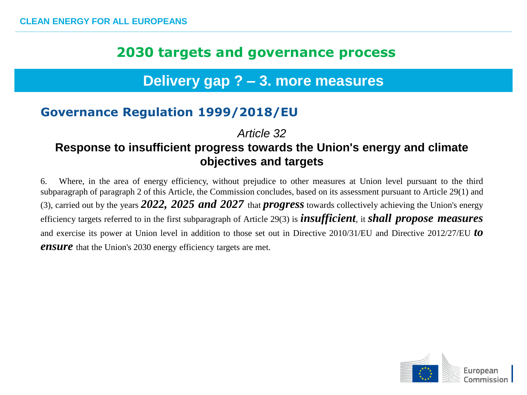## **Delivery gap ? – 3. more measures**

## **Governance Regulation 1999/2018/EU**

*Article 32*

#### **Response to insufficient progress towards the Union's energy and climate objectives and targets**

6. Where, in the area of energy efficiency, without prejudice to other measures at Union level pursuant to the third subparagraph of paragraph 2 of this Article, the Commission concludes, based on its assessment pursuant to Article 29(1) and (3), carried out by the years *2022, 2025 and 2027* that *progress* towards collectively achieving the Union's energy efficiency targets referred to in the first subparagraph of Article 29(3) is *insufficient*, it *shall propose measures* and exercise its power at Union level in addition to those set out in Directive 2010/31/EU and Directive 2012/27/EU *to ensure* that the Union's 2030 energy efficiency targets are met.

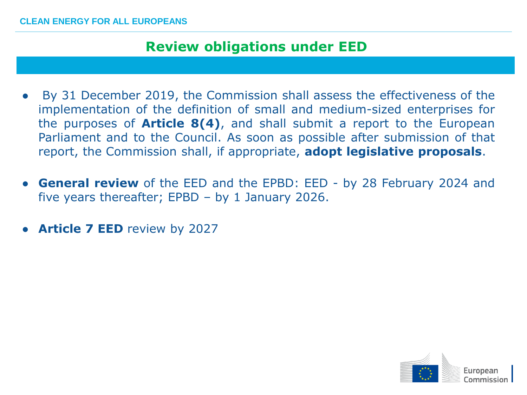#### **CLEAN ENERGY FOR ALL EUROPEANS**

## **Review obligations under EED**

- By 31 December 2019, the Commission shall assess the effectiveness of the implementation of the definition of small and medium-sized enterprises for the purposes of **Article 8(4)**, and shall submit a report to the European Parliament and to the Council. As soon as possible after submission of that report, the Commission shall, if appropriate, **adopt legislative proposals**.
- **General review** of the EED and the EPBD: EED by 28 February 2024 and five years thereafter; EPBD – by 1 January 2026.
- **Article 7 EED** review by 2027

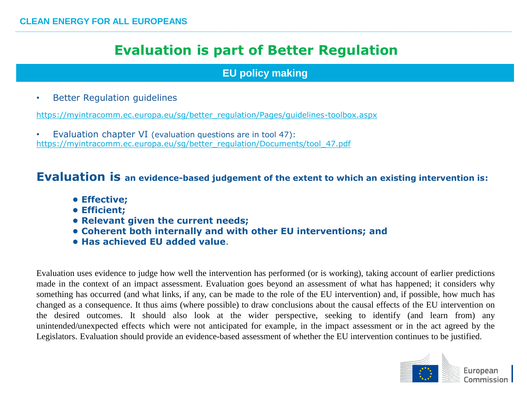## **Evaluation is part of Better Regulation**

#### **EU policy making**

• Better Regulation guidelines

[https://myintracomm.ec.europa.eu/sg/better\\_regulation/Pages/guidelines-toolbox.aspx](https://myintracomm.ec.europa.eu/sg/better_regulation/Pages/guidelines-toolbox.aspx)

• Evaluation chapter VI (evaluation questions are in tool 47): [https://myintracomm.ec.europa.eu/sg/better\\_regulation/Documents/tool\\_47.pdf](https://myintracomm.ec.europa.eu/sg/better_regulation/Documents/tool_47.pdf)

#### **Evaluation is an evidence-based judgement of the extent to which an existing intervention is:**

- **Effective;**
- **Efficient;**
- **Relevant given the current needs;**
- **Coherent both internally and with other EU interventions; and**
- **Has achieved EU added value**.

Evaluation uses evidence to judge how well the intervention has performed (or is working), taking account of earlier predictions made in the context of an impact assessment. Evaluation goes beyond an assessment of what has happened; it considers why something has occurred (and what links, if any, can be made to the role of the EU intervention) and, if possible, how much has changed as a consequence. It thus aims (where possible) to draw conclusions about the causal effects of the EU intervention on the desired outcomes. It should also look at the wider perspective, seeking to identify (and learn from) any unintended/unexpected effects which were not anticipated for example, in the impact assessment or in the act agreed by the Legislators. Evaluation should provide an evidence-based assessment of whether the EU intervention continues to be justified.